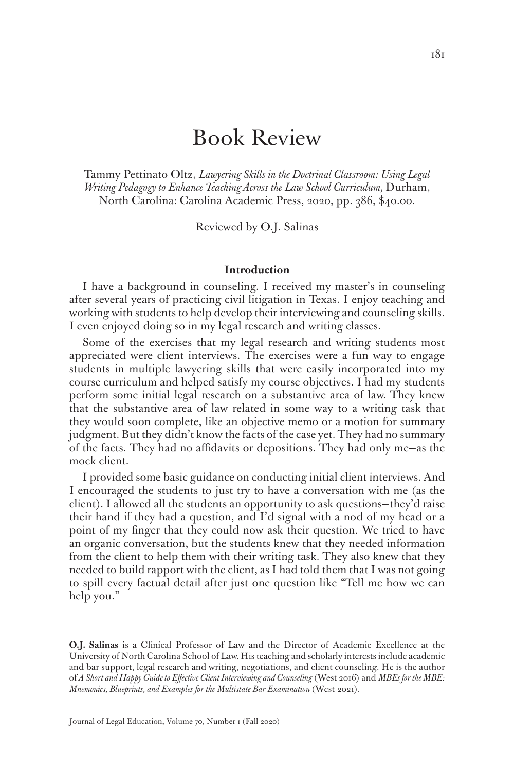# Book Review

Tammy Pettinato Oltz, *Lawyering Skills in the Doctrinal Classroom: Using Legal Writing Pedagogy to Enhance Teaching Across the Law School Curriculum,* Durham, North Carolina: Carolina Academic Press, 2020, pp. 386, \$40.00.

Reviewed by O.J. Salinas

#### **Introduction**

I have a background in counseling. I received my master's in counseling after several years of practicing civil litigation in Texas. I enjoy teaching and working with students to help develop their interviewing and counseling skills. I even enjoyed doing so in my legal research and writing classes.

Some of the exercises that my legal research and writing students most appreciated were client interviews. The exercises were a fun way to engage students in multiple lawyering skills that were easily incorporated into my course curriculum and helped satisfy my course objectives. I had my students perform some initial legal research on a substantive area of law. They knew that the substantive area of law related in some way to a writing task that they would soon complete, like an objective memo or a motion for summary judgment. But they didn't know the facts of the case yet. They had no summary of the facts. They had no affidavits or depositions. They had only me—as the mock client.

I provided some basic guidance on conducting initial client interviews. And I encouraged the students to just try to have a conversation with me (as the client). I allowed all the students an opportunity to ask questions—they'd raise their hand if they had a question, and I'd signal with a nod of my head or a point of my finger that they could now ask their question. We tried to have an organic conversation, but the students knew that they needed information from the client to help them with their writing task. They also knew that they needed to build rapport with the client, as I had told them that I was not going to spill every factual detail after just one question like "Tell me how we can help you."

**O.J. Salinas** is a Clinical Professor of Law and the Director of Academic Excellence at the University of North Carolina School of Law. His teaching and scholarly interests include academic and bar support, legal research and writing, negotiations, and client counseling. He is the author of *A Short and Happy Guide to Effective Client Interviewing and Counseling* (West 2016) and *MBEs for the MBE: Mnemonics, Blueprints, and Examples for the Multistate Bar Examination* (West 2021).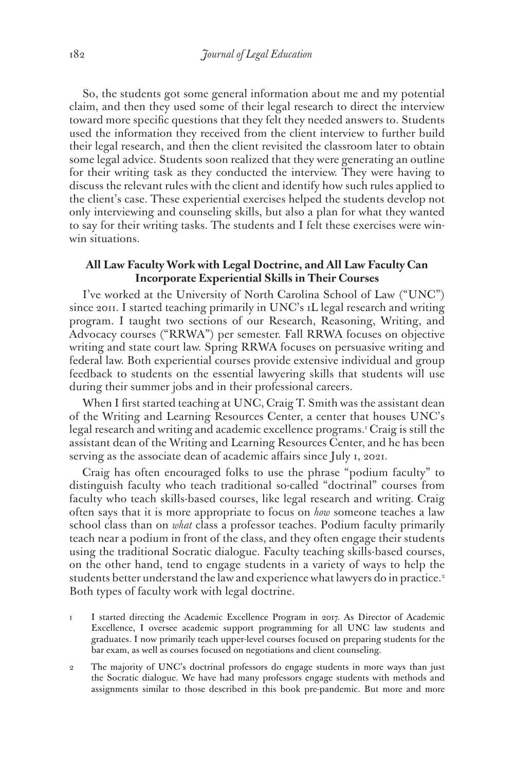So, the students got some general information about me and my potential claim, and then they used some of their legal research to direct the interview toward more specific questions that they felt they needed answers to. Students used the information they received from the client interview to further build their legal research, and then the client revisited the classroom later to obtain some legal advice. Students soon realized that they were generating an outline for their writing task as they conducted the interview. They were having to discuss the relevant rules with the client and identify how such rules applied to the client's case. These experiential exercises helped the students develop not only interviewing and counseling skills, but also a plan for what they wanted to say for their writing tasks. The students and I felt these exercises were winwin situations.

## **All Law Faculty Work with Legal Doctrine, and All Law Faculty Can Incorporate Experiential Skills in Their Courses**

I've worked at the University of North Carolina School of Law ("UNC") since 2011. I started teaching primarily in UNC's 1L legal research and writing program. I taught two sections of our Research, Reasoning, Writing, and Advocacy courses ("RRWA") per semester. Fall RRWA focuses on objective writing and state court law. Spring RRWA focuses on persuasive writing and federal law. Both experiential courses provide extensive individual and group feedback to students on the essential lawyering skills that students will use during their summer jobs and in their professional careers.

When I first started teaching at UNC, Craig T. Smith was the assistant dean of the Writing and Learning Resources Center, a center that houses UNC's legal research and writing and academic excellence programs.1 Craig is still the assistant dean of the Writing and Learning Resources Center, and he has been serving as the associate dean of academic affairs since July 1, 2021.

Craig has often encouraged folks to use the phrase "podium faculty" to distinguish faculty who teach traditional so-called "doctrinal" courses from faculty who teach skills-based courses, like legal research and writing. Craig often says that it is more appropriate to focus on *how* someone teaches a law school class than on *what* class a professor teaches. Podium faculty primarily teach near a podium in front of the class, and they often engage their students using the traditional Socratic dialogue. Faculty teaching skills-based courses, on the other hand, tend to engage students in a variety of ways to help the students better understand the law and experience what lawyers do in practice.<sup>2</sup> Both types of faculty work with legal doctrine.

- 1 I started directing the Academic Excellence Program in 2017. As Director of Academic Excellence, I oversee academic support programming for all UNC law students and graduates. I now primarily teach upper-level courses focused on preparing students for the bar exam, as well as courses focused on negotiations and client counseling.
- 2 The majority of UNC's doctrinal professors do engage students in more ways than just the Socratic dialogue. We have had many professors engage students with methods and assignments similar to those described in this book pre-pandemic. But more and more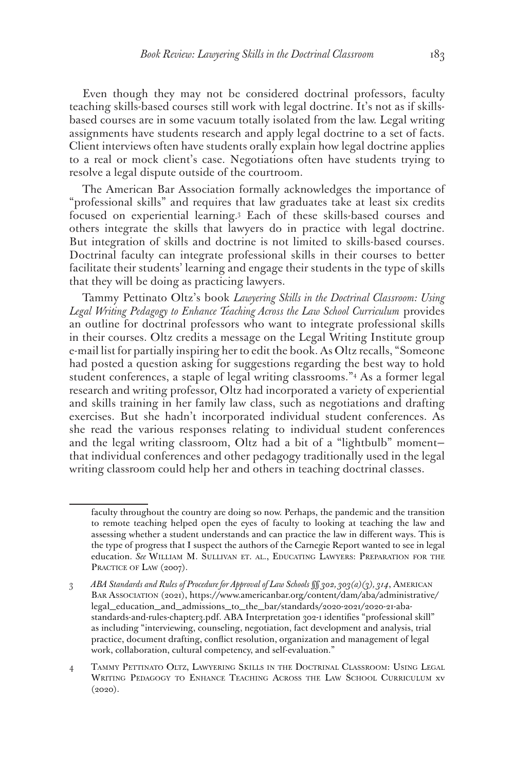Even though they may not be considered doctrinal professors, faculty teaching skills-based courses still work with legal doctrine. It's not as if skillsbased courses are in some vacuum totally isolated from the law. Legal writing assignments have students research and apply legal doctrine to a set of facts. Client interviews often have students orally explain how legal doctrine applies to a real or mock client's case. Negotiations often have students trying to resolve a legal dispute outside of the courtroom.

The American Bar Association formally acknowledges the importance of "professional skills" and requires that law graduates take at least six credits focused on experiential learning.3 Each of these skills-based courses and others integrate the skills that lawyers do in practice with legal doctrine. But integration of skills and doctrine is not limited to skills-based courses. Doctrinal faculty can integrate professional skills in their courses to better facilitate their students' learning and engage their students in the type of skills that they will be doing as practicing lawyers.

Tammy Pettinato Oltz's book *Lawyering Skills in the Doctrinal Classroom: Using Legal Writing Pedagogy to Enhance Teaching Across the Law School Curriculum* provides an outline for doctrinal professors who want to integrate professional skills in their courses. Oltz credits a message on the Legal Writing Institute group e-mail list for partially inspiring her to edit the book. As Oltz recalls, "Someone had posted a question asking for suggestions regarding the best way to hold student conferences, a staple of legal writing classrooms."4 As a former legal research and writing professor, Oltz had incorporated a variety of experiential and skills training in her family law class, such as negotiations and drafting exercises. But she hadn't incorporated individual student conferences. As she read the various responses relating to individual student conferences and the legal writing classroom, Oltz had a bit of a "lightbulb" moment that individual conferences and other pedagogy traditionally used in the legal writing classroom could help her and others in teaching doctrinal classes.

faculty throughout the country are doing so now. Perhaps, the pandemic and the transition to remote teaching helped open the eyes of faculty to looking at teaching the law and assessing whether a student understands and can practice the law in different ways. This is the type of progress that I suspect the authors of the Carnegie Report wanted to see in legal education. *See* William M. Sullivan et. al., Educating Lawyers: Preparation for the PRACTICE OF LAW (2007).

<sup>3</sup> *ABA Standards and Rules of Procedure for Approval of Law Schools §§ 302, 303(a)(3), 314*, American Bar Association (2021), https://www.americanbar.org/content/dam/aba/administrative/ legal\_education\_and\_admissions\_to\_the\_bar/standards/2020-2021/2020-21-abastandards-and-rules-chapter3.pdf. ABA Interpretation 302-1 identifies "professional skill" as including "interviewing, counseling, negotiation, fact development and analysis, trial practice, document drafting, conflict resolution, organization and management of legal work, collaboration, cultural competency, and self-evaluation."

<sup>4</sup> Tammy Pettinato Oltz, Lawyering Skills in the Doctrinal Classroom: Using Legal Writing Pedagogy to Enhance Teaching Across the Law School Curriculum xv (2020).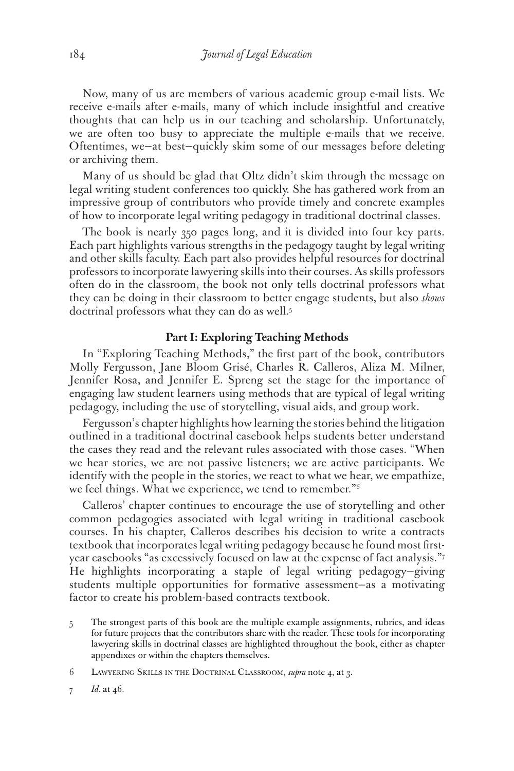Now, many of us are members of various academic group e-mail lists. We receive e-mails after e-mails, many of which include insightful and creative thoughts that can help us in our teaching and scholarship. Unfortunately, we are often too busy to appreciate the multiple e-mails that we receive. Oftentimes, we—at best—quickly skim some of our messages before deleting or archiving them.

Many of us should be glad that Oltz didn't skim through the message on legal writing student conferences too quickly. She has gathered work from an impressive group of contributors who provide timely and concrete examples of how to incorporate legal writing pedagogy in traditional doctrinal classes.

The book is nearly 350 pages long, and it is divided into four key parts. Each part highlights various strengths in the pedagogy taught by legal writing and other skills faculty. Each part also provides helpful resources for doctrinal professors to incorporate lawyering skills into their courses. As skills professors often do in the classroom, the book not only tells doctrinal professors what they can be doing in their classroom to better engage students, but also *shows* doctrinal professors what they can do as well.<sup>5</sup>

## **Part I: Exploring Teaching Methods**

In "Exploring Teaching Methods," the first part of the book, contributors Molly Fergusson, Jane Bloom Grisé, Charles R. Calleros, Aliza M. Milner, Jennifer Rosa, and Jennifer E. Spreng set the stage for the importance of engaging law student learners using methods that are typical of legal writing pedagogy, including the use of storytelling, visual aids, and group work.

Fergusson's chapter highlights how learning the stories behind the litigation outlined in a traditional doctrinal casebook helps students better understand the cases they read and the relevant rules associated with those cases. "When we hear stories, we are not passive listeners; we are active participants. We identify with the people in the stories, we react to what we hear, we empathize, we feel things. What we experience, we tend to remember.<sup>"6</sup>

Calleros' chapter continues to encourage the use of storytelling and other common pedagogies associated with legal writing in traditional casebook courses. In his chapter, Calleros describes his decision to write a contracts textbook that incorporates legal writing pedagogy because he found most firstyear casebooks "as excessively focused on law at the expense of fact analysis."7 He highlights incorporating a staple of legal writing pedagogy—giving students multiple opportunities for formative assessment—as a motivating factor to create his problem-based contracts textbook.

- 5 The strongest parts of this book are the multiple example assignments, rubrics, and ideas for future projects that the contributors share with the reader. These tools for incorporating lawyering skills in doctrinal classes are highlighted throughout the book, either as chapter appendixes or within the chapters themselves.
- 6 Lawyering Skills in the Doctrinal Classroom, *supra* note 4, at 3.
- 7 *Id.* at 46.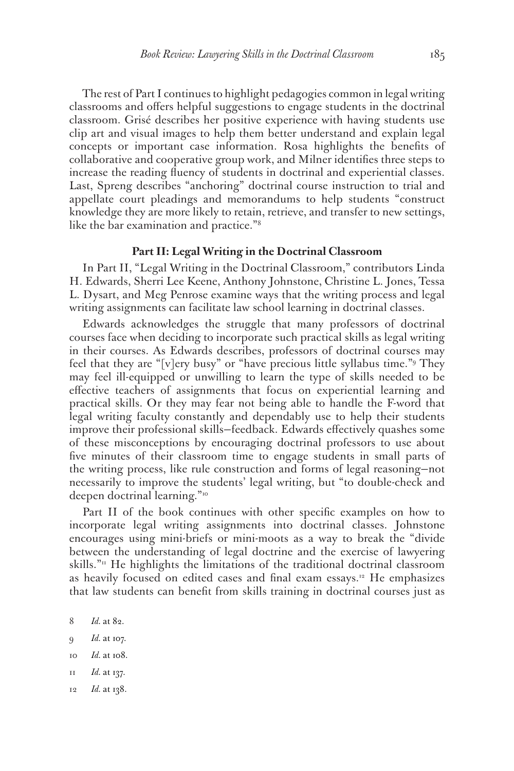The rest of Part I continues to highlight pedagogies common in legal writing classrooms and offers helpful suggestions to engage students in the doctrinal classroom. Grisé describes her positive experience with having students use clip art and visual images to help them better understand and explain legal concepts or important case information. Rosa highlights the benefits of collaborative and cooperative group work, and Milner identifies three steps to increase the reading fluency of students in doctrinal and experiential classes. Last, Spreng describes "anchoring" doctrinal course instruction to trial and appellate court pleadings and memorandums to help students "construct knowledge they are more likely to retain, retrieve, and transfer to new settings, like the bar examination and practice."8

#### **Part II: Legal Writing in the Doctrinal Classroom**

In Part II, "Legal Writing in the Doctrinal Classroom," contributors Linda H. Edwards, Sherri Lee Keene, Anthony Johnstone, Christine L. Jones, Tessa L. Dysart, and Meg Penrose examine ways that the writing process and legal writing assignments can facilitate law school learning in doctrinal classes.

Edwards acknowledges the struggle that many professors of doctrinal courses face when deciding to incorporate such practical skills as legal writing in their courses. As Edwards describes, professors of doctrinal courses may feel that they are "[v]ery busy" or "have precious little syllabus time."9 They may feel ill-equipped or unwilling to learn the type of skills needed to be effective teachers of assignments that focus on experiential learning and practical skills. Or they may fear not being able to handle the F-word that legal writing faculty constantly and dependably use to help their students improve their professional skills—feedback. Edwards effectively quashes some of these misconceptions by encouraging doctrinal professors to use about five minutes of their classroom time to engage students in small parts of the writing process, like rule construction and forms of legal reasoning—not necessarily to improve the students' legal writing, but "to double-check and deepen doctrinal learning."10

Part II of the book continues with other specific examples on how to incorporate legal writing assignments into doctrinal classes. Johnstone encourages using mini-briefs or mini-moots as a way to break the "divide between the understanding of legal doctrine and the exercise of lawyering skills." $\mathbb{I}^n$  He highlights the limitations of the traditional doctrinal classroom as heavily focused on edited cases and final exam essays.<sup>12</sup> He emphasizes that law students can benefit from skills training in doctrinal courses just as

- 9 *Id.* at 107.
- 10 *Id.* at 108.
- 11 *Id.* at 137.
- 12 *Id.* at 138.

<sup>8</sup> *Id.* at 82.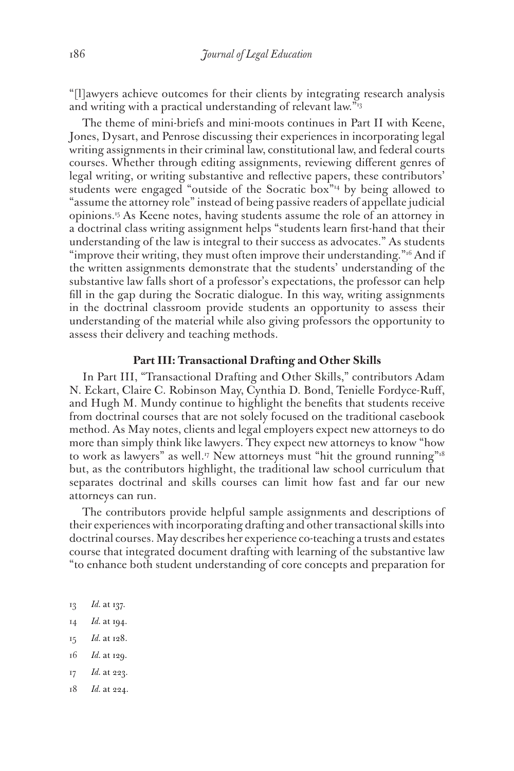"[l]awyers achieve outcomes for their clients by integrating research analysis and writing with a practical understanding of relevant law."<sup>13</sup>

The theme of mini-briefs and mini-moots continues in Part II with Keene, Jones, Dysart, and Penrose discussing their experiences in incorporating legal writing assignments in their criminal law, constitutional law, and federal courts courses. Whether through editing assignments, reviewing different genres of legal writing, or writing substantive and reflective papers, these contributors' students were engaged "outside of the Socratic box"14 by being allowed to "assume the attorney role" instead of being passive readers of appellate judicial opinions.15 As Keene notes, having students assume the role of an attorney in a doctrinal class writing assignment helps "students learn first-hand that their understanding of the law is integral to their success as advocates." As students "improve their writing, they must often improve their understanding."<sup>16</sup> And if the written assignments demonstrate that the students' understanding of the substantive law falls short of a professor's expectations, the professor can help fill in the gap during the Socratic dialogue. In this way, writing assignments in the doctrinal classroom provide students an opportunity to assess their understanding of the material while also giving professors the opportunity to assess their delivery and teaching methods.

## **Part III: Transactional Drafting and Other Skills**

In Part III, "Transactional Drafting and Other Skills," contributors Adam N. Eckart, Claire C. Robinson May, Cynthia D. Bond, Tenielle Fordyce-Ruff, and Hugh M. Mundy continue to highlight the benefits that students receive from doctrinal courses that are not solely focused on the traditional casebook method. As May notes, clients and legal employers expect new attorneys to do more than simply think like lawyers. They expect new attorneys to know "how to work as lawyers" as well.<sup>17</sup> New attorneys must "hit the ground running"<sup>18</sup> but, as the contributors highlight, the traditional law school curriculum that separates doctrinal and skills courses can limit how fast and far our new attorneys can run.

The contributors provide helpful sample assignments and descriptions of their experiences with incorporating drafting and other transactional skills into doctrinal courses. May describes her experience co-teaching a trusts and estates course that integrated document drafting with learning of the substantive law "to enhance both student understanding of core concepts and preparation for

- 13 *Id.* at 137.
- 14 *Id.* at 194.
- 15 *Id.* at 128.
- 16 *Id.* at 129.
- 17 *Id.* at 223.
- 18 *Id.* at 224.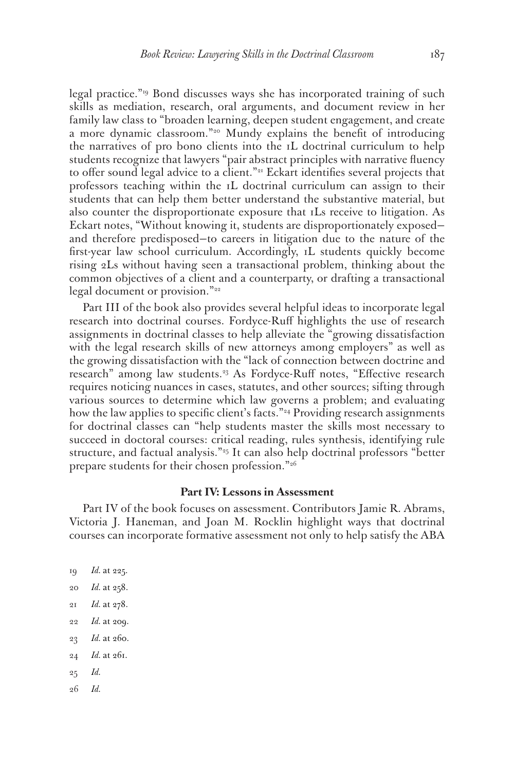legal practice."19 Bond discusses ways she has incorporated training of such skills as mediation, research, oral arguments, and document review in her family law class to "broaden learning, deepen student engagement, and create a more dynamic classroom."<sup>20</sup> Mundy explains the benefit of introducing the narratives of pro bono clients into the 1L doctrinal curriculum to help students recognize that lawyers "pair abstract principles with narrative fluency to offer sound legal advice to a client."<sup>21</sup> Eckart identifies several projects that professors teaching within the 1L doctrinal curriculum can assign to their students that can help them better understand the substantive material, but also counter the disproportionate exposure that 1Ls receive to litigation. As Eckart notes, "Without knowing it, students are disproportionately exposed and therefore predisposed—to careers in litigation due to the nature of the first-year law school curriculum. Accordingly, 1L students quickly become rising 2Ls without having seen a transactional problem, thinking about the common objectives of a client and a counterparty, or drafting a transactional legal document or provision."<sup>22</sup>

Part III of the book also provides several helpful ideas to incorporate legal research into doctrinal courses. Fordyce-Ruff highlights the use of research assignments in doctrinal classes to help alleviate the "growing dissatisfaction with the legal research skills of new attorneys among employers" as well as the growing dissatisfaction with the "lack of connection between doctrine and research" among law students.<sup>23</sup> As Fordyce-Ruff notes, "Effective research requires noticing nuances in cases, statutes, and other sources; sifting through various sources to determine which law governs a problem; and evaluating how the law applies to specific client's facts."<sup>24</sup> Providing research assignments for doctrinal classes can "help students master the skills most necessary to succeed in doctoral courses: critical reading, rules synthesis, identifying rule structure, and factual analysis."25 It can also help doctrinal professors "better prepare students for their chosen profession."26

### **Part IV: Lessons in Assessment**

Part IV of the book focuses on assessment. Contributors Jamie R. Abrams, Victoria J. Haneman, and Joan M. Rocklin highlight ways that doctrinal courses can incorporate formative assessment not only to help satisfy the ABA

 *Id.* at 225. *Id.* at 258. *Id.* at 278. *Id.* at 209. *Id.* at 260. *Id.* at 261. 25 *Id.* 26 *Id.*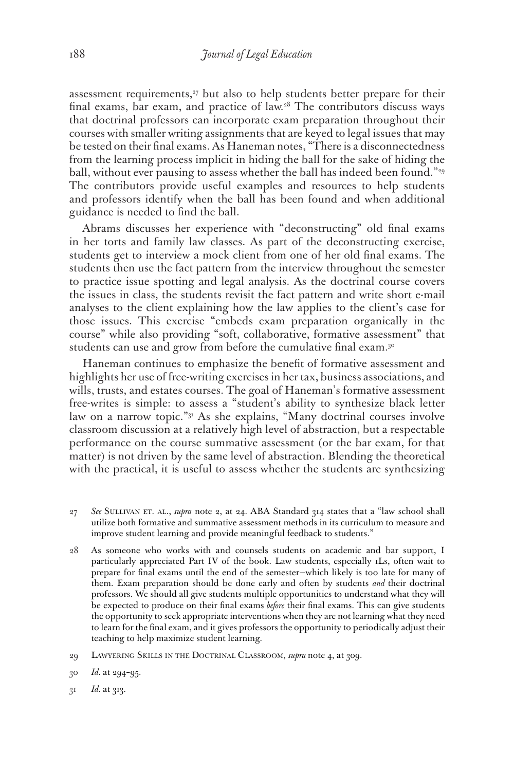assessment requirements, $27$  but also to help students better prepare for their final exams, bar exam, and practice of law.28 The contributors discuss ways that doctrinal professors can incorporate exam preparation throughout their courses with smaller writing assignments that are keyed to legal issues that may be tested on their final exams. As Haneman notes, "There is a disconnectedness from the learning process implicit in hiding the ball for the sake of hiding the ball, without ever pausing to assess whether the ball has indeed been found."<sup>29</sup> The contributors provide useful examples and resources to help students and professors identify when the ball has been found and when additional guidance is needed to find the ball.

Abrams discusses her experience with "deconstructing" old final exams in her torts and family law classes. As part of the deconstructing exercise, students get to interview a mock client from one of her old final exams. The students then use the fact pattern from the interview throughout the semester to practice issue spotting and legal analysis. As the doctrinal course covers the issues in class, the students revisit the fact pattern and write short e-mail analyses to the client explaining how the law applies to the client's case for those issues. This exercise "embeds exam preparation organically in the course" while also providing "soft, collaborative, formative assessment" that students can use and grow from before the cumulative final exam.<sup>30</sup>

Haneman continues to emphasize the benefit of formative assessment and highlights her use of free-writing exercises in her tax, business associations, and wills, trusts, and estates courses. The goal of Haneman's formative assessment free-writes is simple: to assess a "student's ability to synthesize black letter law on a narrow topic."31 As she explains, "Many doctrinal courses involve classroom discussion at a relatively high level of abstraction, but a respectable performance on the course summative assessment (or the bar exam, for that matter) is not driven by the same level of abstraction. Blending the theoretical with the practical, it is useful to assess whether the students are synthesizing

- 27 *See* Sullivan et. al., *supra* note 2, at 24. ABA Standard 314 states that a "law school shall utilize both formative and summative assessment methods in its curriculum to measure and improve student learning and provide meaningful feedback to students."
- 28 As someone who works with and counsels students on academic and bar support, I particularly appreciated Part IV of the book. Law students, especially 1Ls, often wait to prepare for final exams until the end of the semester—which likely is too late for many of them. Exam preparation should be done early and often by students *and* their doctrinal professors. We should all give students multiple opportunities to understand what they will be expected to produce on their final exams *before* their final exams. This can give students the opportunity to seek appropriate interventions when they are not learning what they need to learn for the final exam, and it gives professors the opportunity to periodically adjust their teaching to help maximize student learning.
- 29 Lawyering Skills in the Doctrinal Classroom, *supra* note 4, at 309.
- 30 *Id.* at 294–95.
- 31 *Id.* at 313.